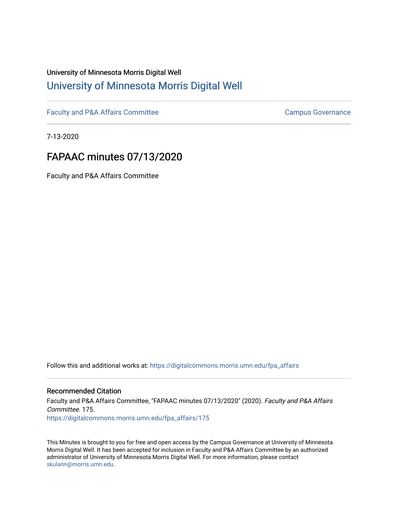## University of Minnesota Morris Digital Well [University of Minnesota Morris Digital Well](https://digitalcommons.morris.umn.edu/)

[Faculty and P&A Affairs Committee](https://digitalcommons.morris.umn.edu/fpa_affairs) [Campus Governance](https://digitalcommons.morris.umn.edu/campgov) Campus Governance

7-13-2020

# FAPAAC minutes 07/13/2020

Faculty and P&A Affairs Committee

Follow this and additional works at: [https://digitalcommons.morris.umn.edu/fpa\\_affairs](https://digitalcommons.morris.umn.edu/fpa_affairs?utm_source=digitalcommons.morris.umn.edu%2Ffpa_affairs%2F175&utm_medium=PDF&utm_campaign=PDFCoverPages)

#### Recommended Citation

Faculty and P&A Affairs Committee, "FAPAAC minutes 07/13/2020" (2020). Faculty and P&A Affairs Committee. 175. [https://digitalcommons.morris.umn.edu/fpa\\_affairs/175](https://digitalcommons.morris.umn.edu/fpa_affairs/175?utm_source=digitalcommons.morris.umn.edu%2Ffpa_affairs%2F175&utm_medium=PDF&utm_campaign=PDFCoverPages)

This Minutes is brought to you for free and open access by the Campus Governance at University of Minnesota Morris Digital Well. It has been accepted for inclusion in Faculty and P&A Affairs Committee by an authorized administrator of University of Minnesota Morris Digital Well. For more information, please contact [skulann@morris.umn.edu.](mailto:skulann@morris.umn.edu)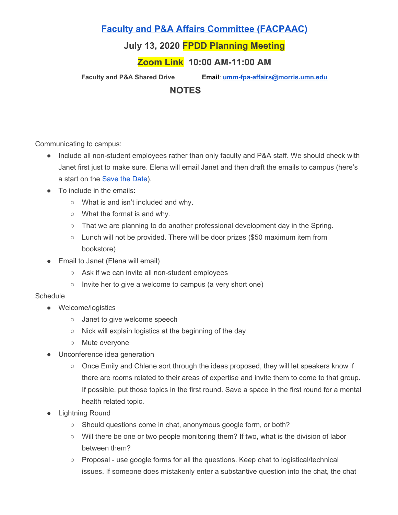## **Faculty and P&A Affairs Committee [\(FACPAAC\)](https://committees.morris.umn.edu/faculty-and-pa-affairs-committee)**

### **July 13, 2020 FPDD Planning Meeting**

### **Zoom Link 10:00 AM-11:00 AM**

**Faculty and P&A Shared Drive Email**: **[umm-fpa-affairs@morris.umn.edu](mailto:umm-fpa-affairs@morris.umn.edu)**

#### **NOTES**

Communicating to campus:

- Include all non-student employees rather than only faculty and P&A staff. We should check with Janet first just to make sure. Elena will email Janet and then draft the emails to campus (here's a start on the **[Save](https://docs.google.com/document/d/179U2poKWZbSM7mEsWQGdGvATHH60P0KPLC_hkaFgpsw/edit) the Date**).
- To include in the emails:
	- What is and isn't included and why.
	- What the format is and why.
	- That we are planning to do another professional development day in the Spring.
	- $\circ$  Lunch will not be provided. There will be door prizes (\$50 maximum item from bookstore)
- Email to Janet (Elena will email)
	- Ask if we can invite all non-student employees
	- Invite her to give a welcome to campus (a very short one)

#### **Schedule**

- Welcome/logistics
	- Janet to give welcome speech
	- Nick will explain logistics at the beginning of the day
	- Mute everyone
- Unconference idea generation
	- Once Emily and Chlene sort through the ideas proposed, they will let speakers know if there are rooms related to their areas of expertise and invite them to come to that group. If possible, put those topics in the first round. Save a space in the first round for a mental health related topic.
- **Lightning Round** 
	- Should questions come in chat, anonymous google form, or both?
	- Will there be one or two people monitoring them? If two, what is the division of labor between them?
	- Proposal use google forms for all the questions. Keep chat to logistical/technical issues. If someone does mistakenly enter a substantive question into the chat, the chat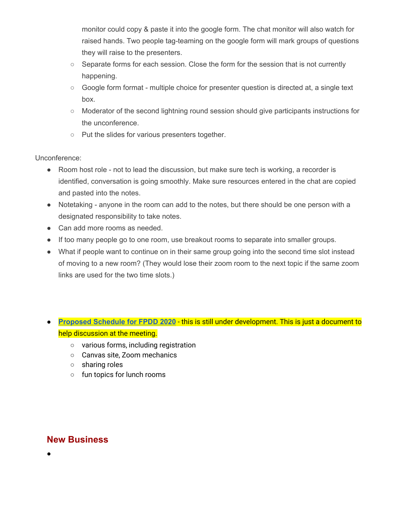monitor could copy & paste it into the google form. The chat monitor will also watch for raised hands. Two people tag-teaming on the google form will mark groups of questions they will raise to the presenters.

- Separate forms for each session. Close the form for the session that is not currently happening.
- Google form format multiple choice for presenter question is directed at, a single text box.
- Moderator of the second lightning round session should give participants instructions for the unconference.
- Put the slides for various presenters together.

#### Unconference:

- Room host role not to lead the discussion, but make sure tech is working, a recorder is identified, conversation is going smoothly. Make sure resources entered in the chat are copied and pasted into the notes.
- Notetaking anyone in the room can add to the notes, but there should be one person with a designated responsibility to take notes.
- Can add more rooms as needed.
- If too many people go to one room, use breakout rooms to separate into smaller groups.
- What if people want to continue on in their same group going into the second time slot instead of moving to a new room? (They would lose their zoom room to the next topic if the same zoom links are used for the two time slots.)

#### **● [Proposed](https://docs.google.com/document/d/1Vn1raJRkp05nw877LYUxknrBaP7LhCr2o6XsQP-Pj7o/edit?usp=sharing) Schedule for FPDD 2020** - this is still under development. This is just a document to help discussion at the meeting.

- various forms, including registration
- Canvas site, Zoom mechanics
- sharing roles
- fun topics for lunch rooms

### **New Business**

●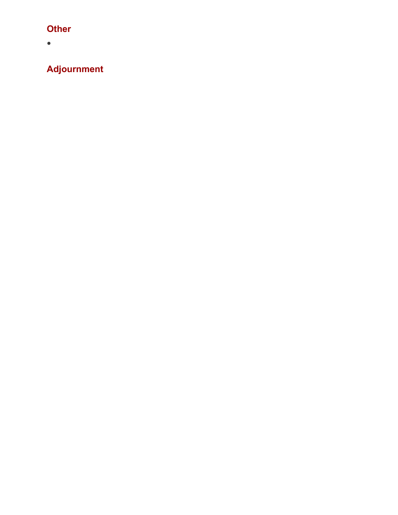# **Other**

 $\bullet$ 

**Adjournment**